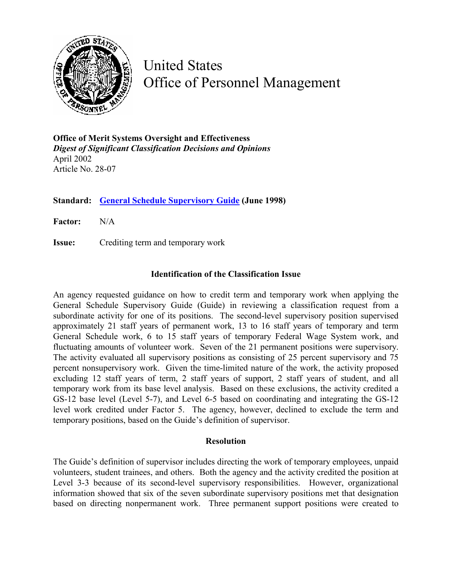

United States Office of Personnel Management

**Office of Merit Systems Oversight and Effectiveness**  *Digest of Significant Classification Decisions and Opinions* April 2002 Article No. 28-07

**Standard: [General Schedule Supervisory Guide](http://www.opm.gov/fedclass/gssg.pdf) (June 1998)**

**Factor:** N/A

**Issue:** Crediting term and temporary work

## **Identification of the Classification Issue**

An agency requested guidance on how to credit term and temporary work when applying the General Schedule Supervisory Guide (Guide) in reviewing a classification request from a subordinate activity for one of its positions. The second-level supervisory position supervised approximately 21 staff years of permanent work, 13 to 16 staff years of temporary and term General Schedule work, 6 to 15 staff years of temporary Federal Wage System work, and fluctuating amounts of volunteer work. Seven of the 21 permanent positions were supervisory. The activity evaluated all supervisory positions as consisting of 25 percent supervisory and 75 percent nonsupervisory work. Given the time-limited nature of the work, the activity proposed excluding 12 staff years of term, 2 staff years of support, 2 staff years of student, and all temporary work from its base level analysis. Based on these exclusions, the activity credited a GS-12 base level (Level 5-7), and Level 6-5 based on coordinating and integrating the GS-12 level work credited under Factor 5. The agency, however, declined to exclude the term and temporary positions, based on the Guide's definition of supervisor.

## **Resolution**

The Guide's definition of supervisor includes directing the work of temporary employees, unpaid volunteers, student trainees, and others. Both the agency and the activity credited the position at Level 3-3 because of its second-level supervisory responsibilities. However, organizational information showed that six of the seven subordinate supervisory positions met that designation based on directing nonpermanent work. Three permanent support positions were created to